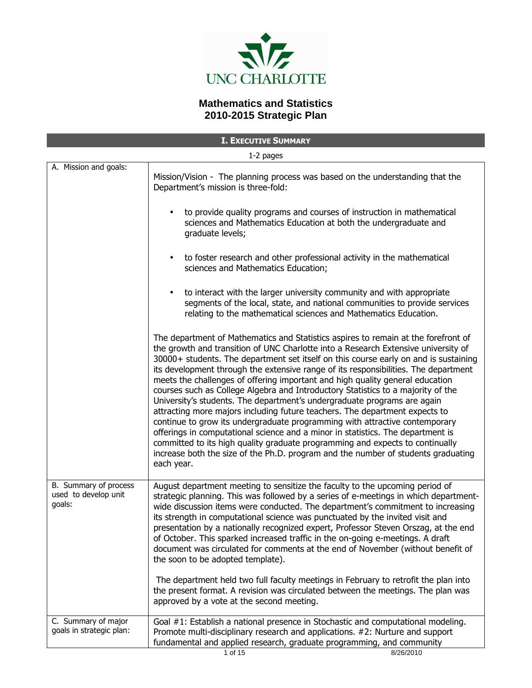

# **Mathematics and Statistics 2010-2015 Strategic Plan**

| <b>I. EXECUTIVE SUMMARY</b>                             |                                                                                                                                                                                                                                                                                                                                                                                                                                                                                                                                                                                                                                                                                                                                                                                                                                                                                                                                                                                                                                               |  |
|---------------------------------------------------------|-----------------------------------------------------------------------------------------------------------------------------------------------------------------------------------------------------------------------------------------------------------------------------------------------------------------------------------------------------------------------------------------------------------------------------------------------------------------------------------------------------------------------------------------------------------------------------------------------------------------------------------------------------------------------------------------------------------------------------------------------------------------------------------------------------------------------------------------------------------------------------------------------------------------------------------------------------------------------------------------------------------------------------------------------|--|
| 1-2 pages                                               |                                                                                                                                                                                                                                                                                                                                                                                                                                                                                                                                                                                                                                                                                                                                                                                                                                                                                                                                                                                                                                               |  |
| A. Mission and goals:                                   | Mission/Vision - The planning process was based on the understanding that the<br>Department's mission is three-fold:                                                                                                                                                                                                                                                                                                                                                                                                                                                                                                                                                                                                                                                                                                                                                                                                                                                                                                                          |  |
|                                                         | to provide quality programs and courses of instruction in mathematical<br>sciences and Mathematics Education at both the undergraduate and<br>graduate levels;                                                                                                                                                                                                                                                                                                                                                                                                                                                                                                                                                                                                                                                                                                                                                                                                                                                                                |  |
|                                                         | to foster research and other professional activity in the mathematical<br>sciences and Mathematics Education;                                                                                                                                                                                                                                                                                                                                                                                                                                                                                                                                                                                                                                                                                                                                                                                                                                                                                                                                 |  |
|                                                         | to interact with the larger university community and with appropriate<br>segments of the local, state, and national communities to provide services<br>relating to the mathematical sciences and Mathematics Education.                                                                                                                                                                                                                                                                                                                                                                                                                                                                                                                                                                                                                                                                                                                                                                                                                       |  |
|                                                         | The department of Mathematics and Statistics aspires to remain at the forefront of<br>the growth and transition of UNC Charlotte into a Research Extensive university of<br>30000+ students. The department set itself on this course early on and is sustaining<br>its development through the extensive range of its responsibilities. The department<br>meets the challenges of offering important and high quality general education<br>courses such as College Algebra and Introductory Statistics to a majority of the<br>University's students. The department's undergraduate programs are again<br>attracting more majors including future teachers. The department expects to<br>continue to grow its undergraduate programming with attractive contemporary<br>offerings in computational science and a minor in statistics. The department is<br>committed to its high quality graduate programming and expects to continually<br>increase both the size of the Ph.D. program and the number of students graduating<br>each year. |  |
| B. Summary of process<br>used to develop unit<br>goals: | August department meeting to sensitize the faculty to the upcoming period of<br>strategic planning. This was followed by a series of e-meetings in which department-<br>wide discussion items were conducted. The department's commitment to increasing<br>its strength in computational science was punctuated by the invited visit and<br>presentation by a nationally recognized expert, Professor Steven Orszag, at the end<br>of October. This sparked increased traffic in the on-going e-meetings. A draft<br>document was circulated for comments at the end of November (without benefit of<br>the soon to be adopted template).                                                                                                                                                                                                                                                                                                                                                                                                     |  |
|                                                         | The department held two full faculty meetings in February to retrofit the plan into<br>the present format. A revision was circulated between the meetings. The plan was<br>approved by a vote at the second meeting.                                                                                                                                                                                                                                                                                                                                                                                                                                                                                                                                                                                                                                                                                                                                                                                                                          |  |
| C. Summary of major<br>goals in strategic plan:         | Goal #1: Establish a national presence in Stochastic and computational modeling.<br>Promote multi-disciplinary research and applications. #2: Nurture and support<br>fundamental and applied research, graduate programming, and community<br>1 of 15<br>8/26/2010                                                                                                                                                                                                                                                                                                                                                                                                                                                                                                                                                                                                                                                                                                                                                                            |  |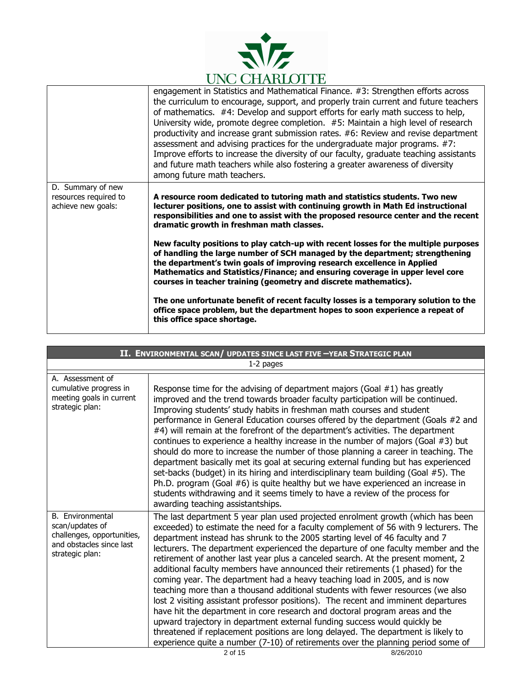

|                                                                  | engagement in Statistics and Mathematical Finance. #3: Strengthen efforts across<br>the curriculum to encourage, support, and properly train current and future teachers<br>of mathematics. #4: Develop and support efforts for early math success to help,<br>University wide, promote degree completion. #5: Maintain a high level of research<br>productivity and increase grant submission rates. #6: Review and revise department<br>assessment and advising practices for the undergraduate major programs. #7:<br>Improve efforts to increase the diversity of our faculty, graduate teaching assistants<br>and future math teachers while also fostering a greater awareness of diversity<br>among future math teachers. |
|------------------------------------------------------------------|----------------------------------------------------------------------------------------------------------------------------------------------------------------------------------------------------------------------------------------------------------------------------------------------------------------------------------------------------------------------------------------------------------------------------------------------------------------------------------------------------------------------------------------------------------------------------------------------------------------------------------------------------------------------------------------------------------------------------------|
| D. Summary of new<br>resources required to<br>achieve new goals: | A resource room dedicated to tutoring math and statistics students. Two new<br>lecturer positions, one to assist with continuing growth in Math Ed instructional<br>responsibilities and one to assist with the proposed resource center and the recent<br>dramatic growth in freshman math classes.                                                                                                                                                                                                                                                                                                                                                                                                                             |
|                                                                  | New faculty positions to play catch-up with recent losses for the multiple purposes<br>of handling the large number of SCH managed by the department; strengthening<br>the department's twin goals of improving research excellence in Applied<br>Mathematics and Statistics/Finance; and ensuring coverage in upper level core<br>courses in teacher training (geometry and discrete mathematics).                                                                                                                                                                                                                                                                                                                              |
|                                                                  | The one unfortunate benefit of recent faculty losses is a temporary solution to the<br>office space problem, but the department hopes to soon experience a repeat of<br>this office space shortage.                                                                                                                                                                                                                                                                                                                                                                                                                                                                                                                              |

| II. ENVIRONMENTAL SCAN/ UPDATES SINCE LAST FIVE -YEAR STRATEGIC PLAN                                             |                                                                                                                                                                                                                                                                                                                                                                                                                                                                                                                                                                                                                                                                                                                                                                                                                                                                                                                                                                                                                                                                                                                                      |  |
|------------------------------------------------------------------------------------------------------------------|--------------------------------------------------------------------------------------------------------------------------------------------------------------------------------------------------------------------------------------------------------------------------------------------------------------------------------------------------------------------------------------------------------------------------------------------------------------------------------------------------------------------------------------------------------------------------------------------------------------------------------------------------------------------------------------------------------------------------------------------------------------------------------------------------------------------------------------------------------------------------------------------------------------------------------------------------------------------------------------------------------------------------------------------------------------------------------------------------------------------------------------|--|
|                                                                                                                  | 1-2 pages                                                                                                                                                                                                                                                                                                                                                                                                                                                                                                                                                                                                                                                                                                                                                                                                                                                                                                                                                                                                                                                                                                                            |  |
| A. Assessment of<br>cumulative progress in<br>meeting goals in current<br>strategic plan:                        | Response time for the advising of department majors (Goal $#1$ ) has greatly<br>improved and the trend towards broader faculty participation will be continued.<br>Improving students' study habits in freshman math courses and student<br>performance in General Education courses offered by the department (Goals #2 and<br>#4) will remain at the forefront of the department's activities. The department<br>continues to experience a healthy increase in the number of majors (Goal #3) but<br>should do more to increase the number of those planning a career in teaching. The<br>department basically met its goal at securing external funding but has experienced<br>set-backs (budget) in its hiring and interdisciplinary team building (Goal #5). The<br>Ph.D. program (Goal #6) is quite healthy but we have experienced an increase in<br>students withdrawing and it seems timely to have a review of the process for<br>awarding teaching assistantships.                                                                                                                                                        |  |
| B. Environmental<br>scan/updates of<br>challenges, opportunities,<br>and obstacles since last<br>strategic plan: | The last department 5 year plan used projected enrolment growth (which has been<br>exceeded) to estimate the need for a faculty complement of 56 with 9 lecturers. The<br>department instead has shrunk to the 2005 starting level of 46 faculty and 7<br>lecturers. The department experienced the departure of one faculty member and the<br>retirement of another last year plus a canceled search. At the present moment, 2<br>additional faculty members have announced their retirements (1 phased) for the<br>coming year. The department had a heavy teaching load in 2005, and is now<br>teaching more than a thousand additional students with fewer resources (we also<br>lost 2 visiting assistant professor positions). The recent and imminent departures<br>have hit the department in core research and doctoral program areas and the<br>upward trajectory in department external funding success would quickly be<br>threatened if replacement positions are long delayed. The department is likely to<br>experience quite a number (7-10) of retirements over the planning period some of<br>2 of 15<br>8/26/2010 |  |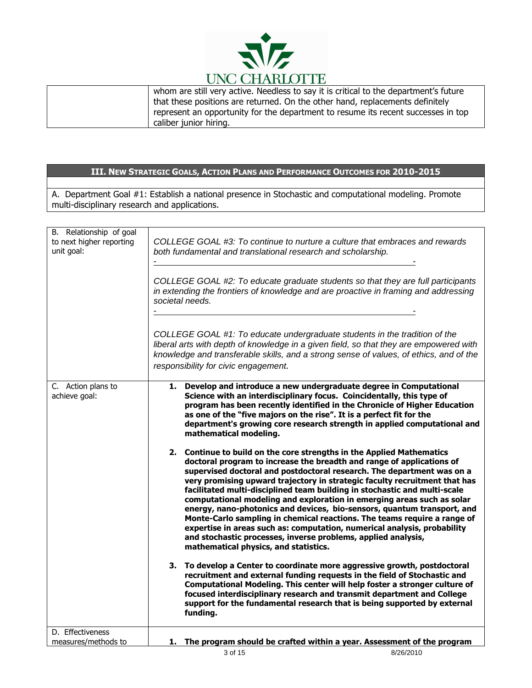

| whom are still very active. Needless to say it is critical to the department's future |
|---------------------------------------------------------------------------------------|
| that these positions are returned. On the other hand, replacements definitely         |
| represent an opportunity for the department to resume its recent successes in top     |
| caliber junior hiring.                                                                |

A. Department Goal #1: Establish a national presence in Stochastic and computational modeling. Promote multi-disciplinary research and applications.

| B. Relationship of goal<br>to next higher reporting<br>unit goal: | COLLEGE GOAL #3: To continue to nurture a culture that embraces and rewards<br>both fundamental and translational research and scholarship.<br>COLLEGE GOAL #2: To educate graduate students so that they are full participants<br>in extending the frontiers of knowledge and are proactive in framing and addressing<br>societal needs.                                                                                                                                                                                                                                                                                                                                                                                                                                                                  |
|-------------------------------------------------------------------|------------------------------------------------------------------------------------------------------------------------------------------------------------------------------------------------------------------------------------------------------------------------------------------------------------------------------------------------------------------------------------------------------------------------------------------------------------------------------------------------------------------------------------------------------------------------------------------------------------------------------------------------------------------------------------------------------------------------------------------------------------------------------------------------------------|
|                                                                   | COLLEGE GOAL #1: To educate undergraduate students in the tradition of the<br>liberal arts with depth of knowledge in a given field, so that they are empowered with<br>knowledge and transferable skills, and a strong sense of values, of ethics, and of the<br>responsibility for civic engagement.                                                                                                                                                                                                                                                                                                                                                                                                                                                                                                     |
| C. Action plans to<br>achieve goal:                               | 1. Develop and introduce a new undergraduate degree in Computational<br>Science with an interdisciplinary focus. Coincidentally, this type of<br>program has been recently identified in the Chronicle of Higher Education<br>as one of the "five majors on the rise". It is a perfect fit for the<br>department's growing core research strength in applied computational and<br>mathematical modeling.                                                                                                                                                                                                                                                                                                                                                                                                   |
|                                                                   | 2. Continue to build on the core strengths in the Applied Mathematics<br>doctoral program to increase the breadth and range of applications of<br>supervised doctoral and postdoctoral research. The department was on a<br>very promising upward trajectory in strategic faculty recruitment that has<br>facilitated multi-disciplined team building in stochastic and multi-scale<br>computational modeling and exploration in emerging areas such as solar<br>energy, nano-photonics and devices, bio-sensors, quantum transport, and<br>Monte-Carlo sampling in chemical reactions. The teams require a range of<br>expertise in areas such as: computation, numerical analysis, probability<br>and stochastic processes, inverse problems, applied analysis,<br>mathematical physics, and statistics. |
|                                                                   | 3. To develop a Center to coordinate more aggressive growth, postdoctoral<br>recruitment and external funding requests in the field of Stochastic and<br>Computational Modeling. This center will help foster a stronger culture of<br>focused interdisciplinary research and transmit department and College<br>support for the fundamental research that is being supported by external<br>funding.                                                                                                                                                                                                                                                                                                                                                                                                      |
| D. Effectiveness                                                  |                                                                                                                                                                                                                                                                                                                                                                                                                                                                                                                                                                                                                                                                                                                                                                                                            |
| measures/methods to                                               | 1. The program should be crafted within a year. Assessment of the program<br>3 of 15<br>8/26/2010                                                                                                                                                                                                                                                                                                                                                                                                                                                                                                                                                                                                                                                                                                          |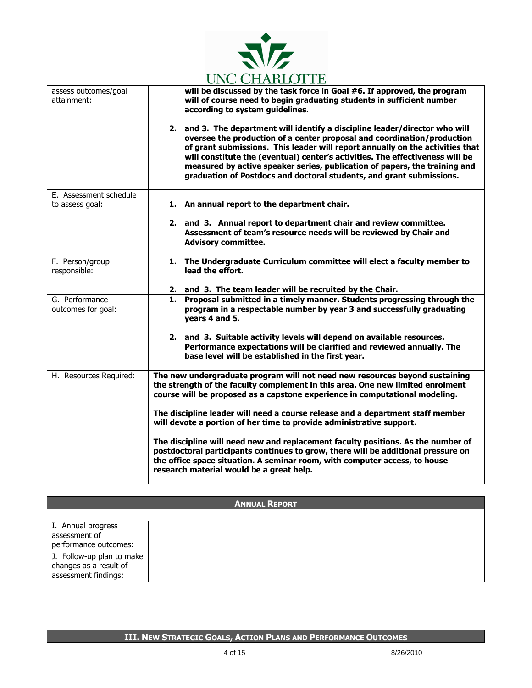

|                                           | CITO CILIMENTILE                                                                                                                                                                                                                                                                                                                                                                                                                                                                |  |
|-------------------------------------------|---------------------------------------------------------------------------------------------------------------------------------------------------------------------------------------------------------------------------------------------------------------------------------------------------------------------------------------------------------------------------------------------------------------------------------------------------------------------------------|--|
| assess outcomes/goal<br>attainment:       | will be discussed by the task force in Goal #6. If approved, the program<br>will of course need to begin graduating students in sufficient number<br>according to system guidelines.                                                                                                                                                                                                                                                                                            |  |
|                                           | 2. and 3. The department will identify a discipline leader/director who will<br>oversee the production of a center proposal and coordination/production<br>of grant submissions. This leader will report annually on the activities that<br>will constitute the (eventual) center's activities. The effectiveness will be<br>measured by active speaker series, publication of papers, the training and<br>graduation of Postdocs and doctoral students, and grant submissions. |  |
| E. Assessment schedule<br>to assess goal: | 1. An annual report to the department chair.                                                                                                                                                                                                                                                                                                                                                                                                                                    |  |
|                                           |                                                                                                                                                                                                                                                                                                                                                                                                                                                                                 |  |
|                                           | 2. and 3. Annual report to department chair and review committee.<br>Assessment of team's resource needs will be reviewed by Chair and<br><b>Advisory committee.</b>                                                                                                                                                                                                                                                                                                            |  |
| F. Person/group<br>responsible:           | 1. The Undergraduate Curriculum committee will elect a faculty member to<br>lead the effort.                                                                                                                                                                                                                                                                                                                                                                                    |  |
|                                           |                                                                                                                                                                                                                                                                                                                                                                                                                                                                                 |  |
|                                           | 2. and 3. The team leader will be recruited by the Chair.                                                                                                                                                                                                                                                                                                                                                                                                                       |  |
| G. Performance                            | Proposal submitted in a timely manner. Students progressing through the<br>1.                                                                                                                                                                                                                                                                                                                                                                                                   |  |
| outcomes for goal:                        | program in a respectable number by year 3 and successfully graduating<br>years 4 and 5.                                                                                                                                                                                                                                                                                                                                                                                         |  |
|                                           | 2. and 3. Suitable activity levels will depend on available resources.<br>Performance expectations will be clarified and reviewed annually. The<br>base level will be established in the first year.                                                                                                                                                                                                                                                                            |  |
| H. Resources Required:                    | The new undergraduate program will not need new resources beyond sustaining<br>the strength of the faculty complement in this area. One new limited enrolment<br>course will be proposed as a capstone experience in computational modeling.                                                                                                                                                                                                                                    |  |
|                                           | The discipline leader will need a course release and a department staff member<br>will devote a portion of her time to provide administrative support.                                                                                                                                                                                                                                                                                                                          |  |
|                                           | The discipline will need new and replacement faculty positions. As the number of<br>postdoctoral participants continues to grow, there will be additional pressure on<br>the office space situation. A seminar room, with computer access, to house<br>research material would be a great help.                                                                                                                                                                                 |  |

| <b>ANNUAL REPORT</b>                                                        |  |  |
|-----------------------------------------------------------------------------|--|--|
|                                                                             |  |  |
| I. Annual progress<br>assessment of<br>performance outcomes:                |  |  |
| J. Follow-up plan to make<br>changes as a result of<br>assessment findings: |  |  |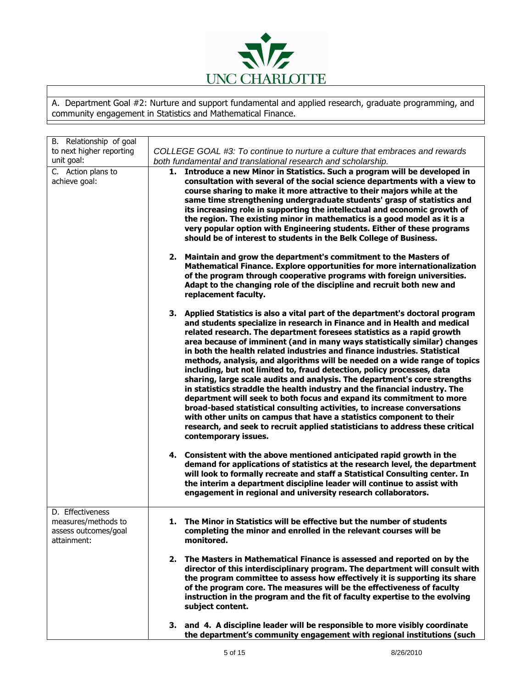

A. Department Goal #2: Nurture and support fundamental and applied research, graduate programming, and community engagement in Statistics and Mathematical Finance.

| B. Relationship of goal                 |                                                                             |                                                                                                                                                                                                                                                                                                                                                                                                                                                                                                                                                                                                                                                                                                                                                                                                                                                                                                                                                                                                                                                         |
|-----------------------------------------|-----------------------------------------------------------------------------|---------------------------------------------------------------------------------------------------------------------------------------------------------------------------------------------------------------------------------------------------------------------------------------------------------------------------------------------------------------------------------------------------------------------------------------------------------------------------------------------------------------------------------------------------------------------------------------------------------------------------------------------------------------------------------------------------------------------------------------------------------------------------------------------------------------------------------------------------------------------------------------------------------------------------------------------------------------------------------------------------------------------------------------------------------|
| to next higher reporting                | COLLEGE GOAL #3: To continue to nurture a culture that embraces and rewards |                                                                                                                                                                                                                                                                                                                                                                                                                                                                                                                                                                                                                                                                                                                                                                                                                                                                                                                                                                                                                                                         |
| unit goal:                              | both fundamental and translational research and scholarship.                |                                                                                                                                                                                                                                                                                                                                                                                                                                                                                                                                                                                                                                                                                                                                                                                                                                                                                                                                                                                                                                                         |
| C. Action plans to<br>achieve goal:     |                                                                             | 1. Introduce a new Minor in Statistics. Such a program will be developed in<br>consultation with several of the social science departments with a view to<br>course sharing to make it more attractive to their majors while at the<br>same time strengthening undergraduate students' grasp of statistics and<br>its increasing role in supporting the intellectual and economic growth of<br>the region. The existing minor in mathematics is a good model as it is a<br>very popular option with Engineering students. Either of these programs<br>should be of interest to students in the Belk College of Business.                                                                                                                                                                                                                                                                                                                                                                                                                                |
|                                         |                                                                             | 2. Maintain and grow the department's commitment to the Masters of<br>Mathematical Finance. Explore opportunities for more internationalization<br>of the program through cooperative programs with foreign universities.<br>Adapt to the changing role of the discipline and recruit both new and<br>replacement faculty.                                                                                                                                                                                                                                                                                                                                                                                                                                                                                                                                                                                                                                                                                                                              |
|                                         |                                                                             | 3. Applied Statistics is also a vital part of the department's doctoral program<br>and students specialize in research in Finance and in Health and medical<br>related research. The department foresees statistics as a rapid growth<br>area because of imminent (and in many ways statistically similar) changes<br>in both the health related industries and finance industries. Statistical<br>methods, analysis, and algorithms will be needed on a wide range of topics<br>including, but not limited to, fraud detection, policy processes, data<br>sharing, large scale audits and analysis. The department's core strengths<br>in statistics straddle the health industry and the financial industry. The<br>department will seek to both focus and expand its commitment to more<br>broad-based statistical consulting activities, to increase conversations<br>with other units on campus that have a statistics component to their<br>research, and seek to recruit applied statisticians to address these critical<br>contemporary issues. |
|                                         |                                                                             | 4. Consistent with the above mentioned anticipated rapid growth in the<br>demand for applications of statistics at the research level, the department<br>will look to formally recreate and staff a Statistical Consulting center. In<br>the interim a department discipline leader will continue to assist with<br>engagement in regional and university research collaborators.                                                                                                                                                                                                                                                                                                                                                                                                                                                                                                                                                                                                                                                                       |
| D. Effectiveness<br>measures/methods to |                                                                             | 1. The Minor in Statistics will be effective but the number of students                                                                                                                                                                                                                                                                                                                                                                                                                                                                                                                                                                                                                                                                                                                                                                                                                                                                                                                                                                                 |
| assess outcomes/goal<br>attainment:     |                                                                             | completing the minor and enrolled in the relevant courses will be<br>monitored.                                                                                                                                                                                                                                                                                                                                                                                                                                                                                                                                                                                                                                                                                                                                                                                                                                                                                                                                                                         |
|                                         |                                                                             | 2. The Masters in Mathematical Finance is assessed and reported on by the<br>director of this interdisciplinary program. The department will consult with<br>the program committee to assess how effectively it is supporting its share<br>of the program core. The measures will be the effectiveness of faculty<br>instruction in the program and the fit of faculty expertise to the evolving<br>subject content.                                                                                                                                                                                                                                                                                                                                                                                                                                                                                                                                                                                                                                    |
|                                         |                                                                             | 3. and 4. A discipline leader will be responsible to more visibly coordinate<br>the department's community engagement with regional institutions (such                                                                                                                                                                                                                                                                                                                                                                                                                                                                                                                                                                                                                                                                                                                                                                                                                                                                                                  |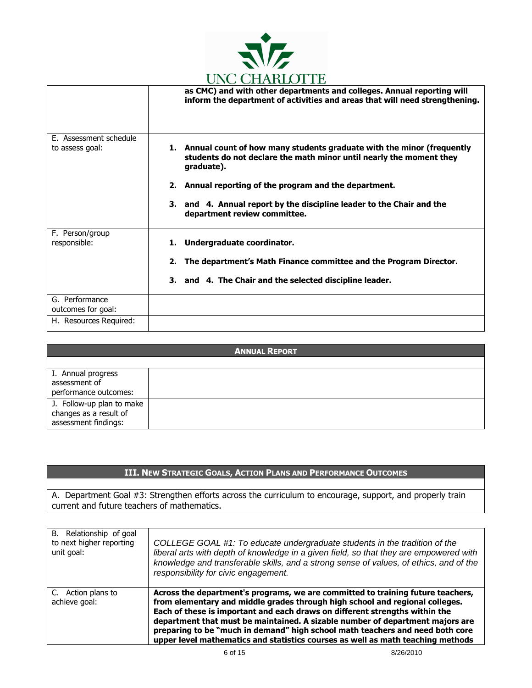

|                        | ono chango i na                                                                                                                                               |
|------------------------|---------------------------------------------------------------------------------------------------------------------------------------------------------------|
|                        | as CMC) and with other departments and colleges. Annual reporting will<br>inform the department of activities and areas that will need strengthening.         |
| E. Assessment schedule |                                                                                                                                                               |
| to assess goal:        | 1. Annual count of how many students graduate with the minor (frequently<br>students do not declare the math minor until nearly the moment they<br>graduate). |
|                        | 2. Annual reporting of the program and the department.                                                                                                        |
|                        | 3. and 4. Annual report by the discipline leader to the Chair and the<br>department review committee.                                                         |
| F. Person/group        |                                                                                                                                                               |
| responsible:           | 1. Undergraduate coordinator.                                                                                                                                 |
|                        | The department's Math Finance committee and the Program Director.<br>2.                                                                                       |
|                        | 3. and 4. The Chair and the selected discipline leader.                                                                                                       |
| G. Performance         |                                                                                                                                                               |
| outcomes for goal:     |                                                                                                                                                               |
|                        |                                                                                                                                                               |
| H. Resources Required: |                                                                                                                                                               |

| <b>ANNUAL REPORT</b>                                                        |  |
|-----------------------------------------------------------------------------|--|
|                                                                             |  |
| I. Annual progress<br>assessment of<br>performance outcomes:                |  |
| J. Follow-up plan to make<br>changes as a result of<br>assessment findings: |  |

A. Department Goal #3: Strengthen efforts across the curriculum to encourage, support, and properly train current and future teachers of mathematics.

| B. Relationship of goal<br>to next higher reporting<br>unit goal: | COLLEGE GOAL #1: To educate undergraduate students in the tradition of the<br>liberal arts with depth of knowledge in a given field, so that they are empowered with<br>knowledge and transferable skills, and a strong sense of values, of ethics, and of the<br>responsibility for civic engagement.                                                                                                                                                                                              |
|-------------------------------------------------------------------|-----------------------------------------------------------------------------------------------------------------------------------------------------------------------------------------------------------------------------------------------------------------------------------------------------------------------------------------------------------------------------------------------------------------------------------------------------------------------------------------------------|
| C. Action plans to<br>achieve goal:                               | Across the department's programs, we are committed to training future teachers,<br>from elementary and middle grades through high school and regional colleges.<br>Each of these is important and each draws on different strengths within the<br>department that must be maintained. A sizable number of department majors are<br>preparing to be "much in demand" high school math teachers and need both core<br>upper level mathematics and statistics courses as well as math teaching methods |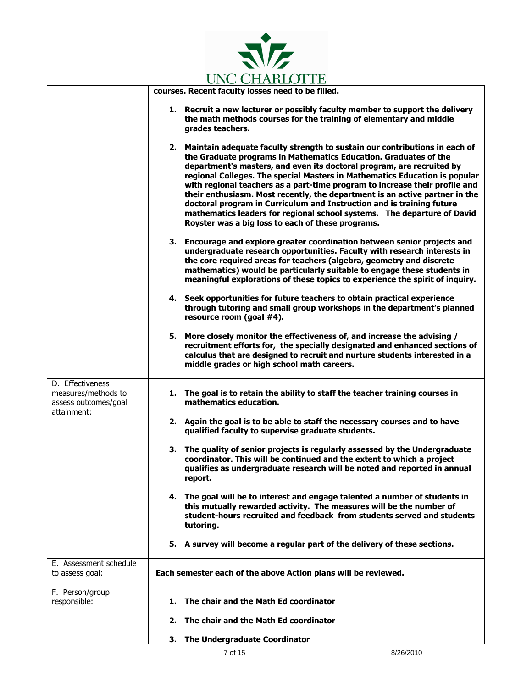

|                                                                 | <b>CITY CHANGEOI TH</b>                                                                                                                                                                                                                                                                                                                                                                                                                                                                                                                                                                                                                                                         |
|-----------------------------------------------------------------|---------------------------------------------------------------------------------------------------------------------------------------------------------------------------------------------------------------------------------------------------------------------------------------------------------------------------------------------------------------------------------------------------------------------------------------------------------------------------------------------------------------------------------------------------------------------------------------------------------------------------------------------------------------------------------|
|                                                                 | courses. Recent faculty losses need to be filled.                                                                                                                                                                                                                                                                                                                                                                                                                                                                                                                                                                                                                               |
|                                                                 | 1. Recruit a new lecturer or possibly faculty member to support the delivery<br>the math methods courses for the training of elementary and middle<br>grades teachers.                                                                                                                                                                                                                                                                                                                                                                                                                                                                                                          |
|                                                                 | 2. Maintain adequate faculty strength to sustain our contributions in each of<br>the Graduate programs in Mathematics Education. Graduates of the<br>department's masters, and even its doctoral program, are recruited by<br>regional Colleges. The special Masters in Mathematics Education is popular<br>with regional teachers as a part-time program to increase their profile and<br>their enthusiasm. Most recently, the department is an active partner in the<br>doctoral program in Curriculum and Instruction and is training future<br>mathematics leaders for regional school systems. The departure of David<br>Royster was a big loss to each of these programs. |
|                                                                 | 3. Encourage and explore greater coordination between senior projects and<br>undergraduate research opportunities. Faculty with research interests in<br>the core required areas for teachers (algebra, geometry and discrete<br>mathematics) would be particularly suitable to engage these students in<br>meaningful explorations of these topics to experience the spirit of inquiry.                                                                                                                                                                                                                                                                                        |
|                                                                 | 4. Seek opportunities for future teachers to obtain practical experience<br>through tutoring and small group workshops in the department's planned<br>resource room (goal #4).                                                                                                                                                                                                                                                                                                                                                                                                                                                                                                  |
|                                                                 | More closely monitor the effectiveness of, and increase the advising /<br>5.<br>recruitment efforts for, the specially designated and enhanced sections of<br>calculus that are designed to recruit and nurture students interested in a<br>middle grades or high school math careers.                                                                                                                                                                                                                                                                                                                                                                                          |
| D. Effectiveness<br>measures/methods to<br>assess outcomes/goal | 1. The goal is to retain the ability to staff the teacher training courses in<br>mathematics education.                                                                                                                                                                                                                                                                                                                                                                                                                                                                                                                                                                         |
| attainment:                                                     | 2. Again the goal is to be able to staff the necessary courses and to have<br>qualified faculty to supervise graduate students.                                                                                                                                                                                                                                                                                                                                                                                                                                                                                                                                                 |
|                                                                 | 3. The quality of senior projects is regularly assessed by the Undergraduate<br>coordinator. This will be continued and the extent to which a project<br>qualifies as undergraduate research will be noted and reported in annual<br>report.                                                                                                                                                                                                                                                                                                                                                                                                                                    |
|                                                                 | 4. The goal will be to interest and engage talented a number of students in<br>this mutually rewarded activity. The measures will be the number of<br>student-hours recruited and feedback from students served and students<br>tutoring.                                                                                                                                                                                                                                                                                                                                                                                                                                       |
|                                                                 | 5. A survey will become a regular part of the delivery of these sections.                                                                                                                                                                                                                                                                                                                                                                                                                                                                                                                                                                                                       |
| E. Assessment schedule<br>to assess goal:                       | Each semester each of the above Action plans will be reviewed.                                                                                                                                                                                                                                                                                                                                                                                                                                                                                                                                                                                                                  |
| F. Person/group<br>responsible:                                 | 1. The chair and the Math Ed coordinator                                                                                                                                                                                                                                                                                                                                                                                                                                                                                                                                                                                                                                        |
|                                                                 | 2. The chair and the Math Ed coordinator                                                                                                                                                                                                                                                                                                                                                                                                                                                                                                                                                                                                                                        |
|                                                                 | The Undergraduate Coordinator<br>з.                                                                                                                                                                                                                                                                                                                                                                                                                                                                                                                                                                                                                                             |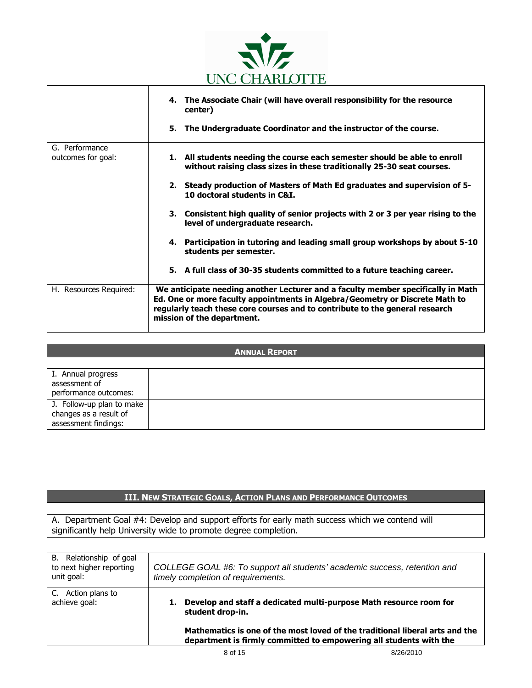

|                        | 4. The Associate Chair (will have overall responsibility for the resource<br>center)                                                                                                                                                                                           |
|------------------------|--------------------------------------------------------------------------------------------------------------------------------------------------------------------------------------------------------------------------------------------------------------------------------|
|                        | 5. The Undergraduate Coordinator and the instructor of the course.                                                                                                                                                                                                             |
| G. Performance         |                                                                                                                                                                                                                                                                                |
| outcomes for goal:     | 1. All students needing the course each semester should be able to enroll<br>without raising class sizes in these traditionally 25-30 seat courses.                                                                                                                            |
|                        | 2. Steady production of Masters of Math Ed graduates and supervision of 5-<br>10 doctoral students in C&I.                                                                                                                                                                     |
|                        | 3. Consistent high quality of senior projects with 2 or 3 per year rising to the<br>level of undergraduate research.                                                                                                                                                           |
|                        | 4. Participation in tutoring and leading small group workshops by about 5-10<br>students per semester.                                                                                                                                                                         |
|                        | 5. A full class of 30-35 students committed to a future teaching career.                                                                                                                                                                                                       |
| H. Resources Required: | We anticipate needing another Lecturer and a faculty member specifically in Math<br>Ed. One or more faculty appointments in Algebra/Geometry or Discrete Math to<br>regularly teach these core courses and to contribute to the general research<br>mission of the department. |

| <b>ANNUAL REPORT</b>                                                        |  |  |
|-----------------------------------------------------------------------------|--|--|
|                                                                             |  |  |
| I. Annual progress<br>assessment of<br>performance outcomes:                |  |  |
| J. Follow-up plan to make<br>changes as a result of<br>assessment findings: |  |  |

A. Department Goal #4: Develop and support efforts for early math success which we contend will significantly help University wide to promote degree completion.

| B. Relationship of goal<br>to next higher reporting<br>unit goal: | COLLEGE GOAL #6: To support all students' academic success, retention and<br>timely completion of requirements.                                                                                                                              |           |
|-------------------------------------------------------------------|----------------------------------------------------------------------------------------------------------------------------------------------------------------------------------------------------------------------------------------------|-----------|
| Action plans to<br>C.<br>achieve goal:                            | Develop and staff a dedicated multi-purpose Math resource room for<br>student drop-in.<br>Mathematics is one of the most loved of the traditional liberal arts and the<br>department is firmly committed to empowering all students with the |           |
|                                                                   | 8 of 15                                                                                                                                                                                                                                      | 8/26/2010 |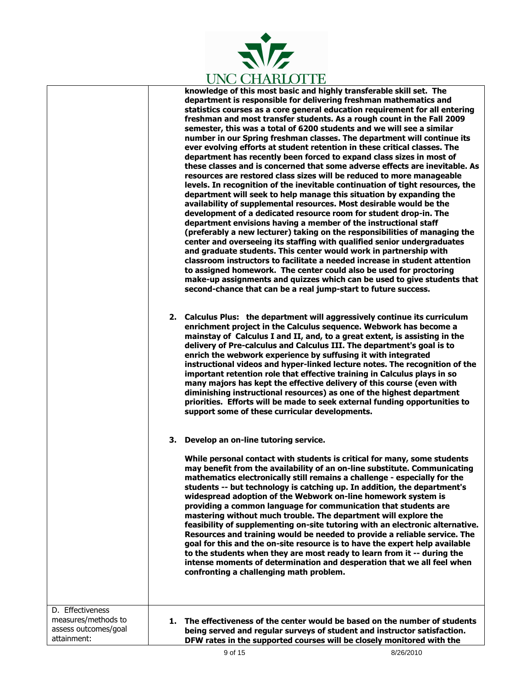

**knowledge of this most basic and highly transferable skill set. The department is responsible for delivering freshman mathematics and statistics courses as a core general education requirement for all entering freshman and most transfer students. As a rough count in the Fall 2009 semester, this was a total of 6200 students and we will see a similar number in our Spring freshman classes. The department will continue its ever evolving efforts at student retention in these critical classes. The department has recently been forced to expand class sizes in most of these classes and is concerned that some adverse effects are inevitable. As resources are restored class sizes will be reduced to more manageable levels. In recognition of the inevitable continuation of tight resources, the department will seek to help manage this situation by expanding the availability of supplemental resources. Most desirable would be the development of a dedicated resource room for student drop-in. The department envisions having a member of the instructional staff (preferably a new lecturer) taking on the responsibilities of managing the center and overseeing its staffing with qualified senior undergraduates and graduate students. This center would work in partnership with classroom instructors to facilitate a needed increase in student attention to assigned homework. The center could also be used for proctoring make-up assignments and quizzes which can be used to give students that second-chance that can be a real jump-start to future success.** 

**2. Calculus Plus: the department will aggressively continue its curriculum enrichment project in the Calculus sequence. Webwork has become a mainstay of Calculus I and II, and, to a great extent, is assisting in the delivery of Pre-calculus and Calculus III. The department's goal is to enrich the webwork experience by suffusing it with integrated instructional videos and hyper-linked lecture notes. The recognition of the important retention role that effective training in Calculus plays in so many majors has kept the effective delivery of this course (even with diminishing instructional resources) as one of the highest department priorities. Efforts will be made to seek external funding opportunities to support some of these curricular developments.** 

#### **3. Develop an on-line tutoring service.**

**While personal contact with students is critical for many, some students may benefit from the availability of an on-line substitute. Communicating mathematics electronically still remains a challenge - especially for the students -- but technology is catching up. In addition, the department's widespread adoption of the Webwork on-line homework system is providing a common language for communication that students are mastering without much trouble. The department will explore the feasibility of supplementing on-site tutoring with an electronic alternative. Resources and training would be needed to provide a reliable service. The goal for this and the on-site resource is to have the expert help available to the students when they are most ready to learn from it -- during the intense moments of determination and desperation that we all feel when confronting a challenging math problem.** 

D. Effectiveness measures/methods to assess outcomes/goal attainment: **1. The effectiveness of the center would be based on the number of students being served and regular surveys of student and instructor satisfaction. DFW rates in the supported courses will be closely monitored with the**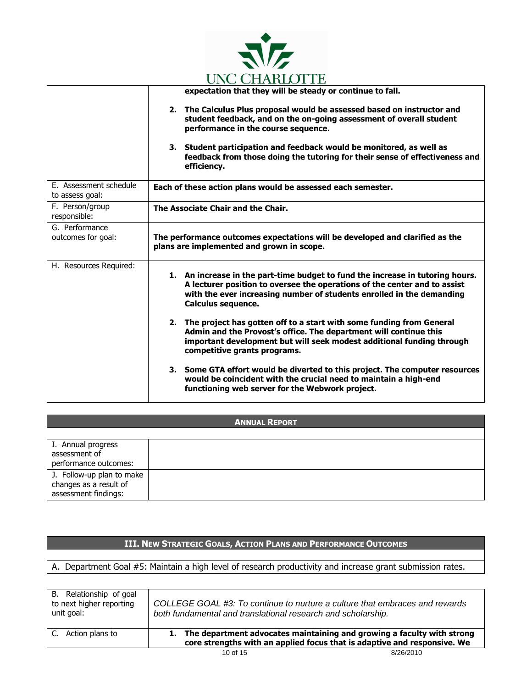

|                                           | UNU UHANLUI I L                                                                                                                                                                                                                                                   |  |
|-------------------------------------------|-------------------------------------------------------------------------------------------------------------------------------------------------------------------------------------------------------------------------------------------------------------------|--|
|                                           | expectation that they will be steady or continue to fall.                                                                                                                                                                                                         |  |
|                                           | 2. The Calculus Plus proposal would be assessed based on instructor and<br>student feedback, and on the on-going assessment of overall student<br>performance in the course sequence.                                                                             |  |
|                                           | 3. Student participation and feedback would be monitored, as well as<br>feedback from those doing the tutoring for their sense of effectiveness and<br>efficiency.                                                                                                |  |
| E. Assessment schedule<br>to assess goal: | Each of these action plans would be assessed each semester.                                                                                                                                                                                                       |  |
| F. Person/group<br>responsible:           | The Associate Chair and the Chair.                                                                                                                                                                                                                                |  |
| G. Performance<br>outcomes for goal:      | The performance outcomes expectations will be developed and clarified as the<br>plans are implemented and grown in scope.                                                                                                                                         |  |
| H. Resources Required:                    | 1. An increase in the part-time budget to fund the increase in tutoring hours.<br>A lecturer position to oversee the operations of the center and to assist<br>with the ever increasing number of students enrolled in the demanding<br><b>Calculus sequence.</b> |  |
|                                           | 2. The project has gotten off to a start with some funding from General<br>Admin and the Provost's office. The department will continue this<br>important development but will seek modest additional funding through<br>competitive grants programs.             |  |
|                                           | 3. Some GTA effort would be diverted to this project. The computer resources<br>would be coincident with the crucial need to maintain a high-end<br>functioning web server for the Webwork project.                                                               |  |

| <b>ANNUAL REPORT</b>                           |  |  |
|------------------------------------------------|--|--|
|                                                |  |  |
| I. Annual progress<br>assessment of            |  |  |
| performance outcomes:                          |  |  |
| J. Follow-up plan to make                      |  |  |
| changes as a result of<br>assessment findings: |  |  |
|                                                |  |  |

A. Department Goal #5: Maintain a high level of research productivity and increase grant submission rates.

| B. Relationship of goal<br>to next higher reporting<br>unit goal: | COLLEGE GOAL #3: To continue to nurture a culture that embraces and rewards<br>both fundamental and translational research and scholarship.           |           |
|-------------------------------------------------------------------|-------------------------------------------------------------------------------------------------------------------------------------------------------|-----------|
| C. Action plans to                                                | 1. The department advocates maintaining and growing a faculty with strong<br>core strengths with an applied focus that is adaptive and responsive. We |           |
|                                                                   | 10 of $15$                                                                                                                                            | 8/26/2010 |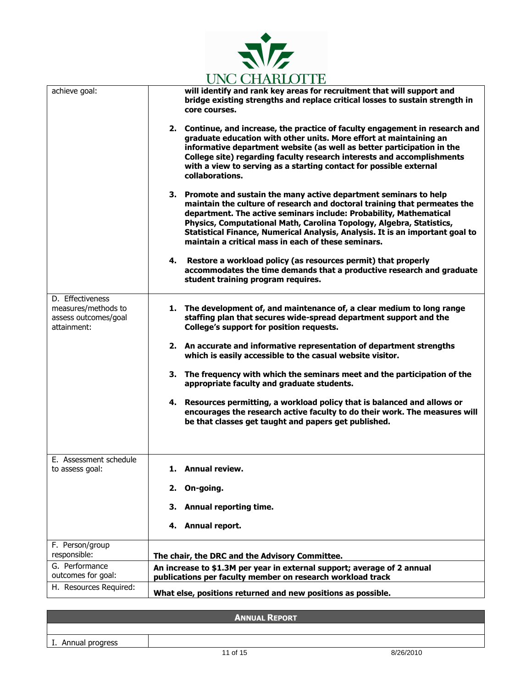

|                                                                                |                                                              | UNG CITANIO I I L                                                                                                                                                                                                                                                                                                                                                                                                                     |
|--------------------------------------------------------------------------------|--------------------------------------------------------------|---------------------------------------------------------------------------------------------------------------------------------------------------------------------------------------------------------------------------------------------------------------------------------------------------------------------------------------------------------------------------------------------------------------------------------------|
| achieve goal:                                                                  |                                                              | will identify and rank key areas for recruitment that will support and<br>bridge existing strengths and replace critical losses to sustain strength in<br>core courses.                                                                                                                                                                                                                                                               |
|                                                                                |                                                              | 2. Continue, and increase, the practice of faculty engagement in research and<br>graduate education with other units. More effort at maintaining an<br>informative department website (as well as better participation in the<br>College site) regarding faculty research interests and accomplishments<br>with a view to serving as a starting contact for possible external<br>collaborations.                                      |
|                                                                                |                                                              | 3. Promote and sustain the many active department seminars to help<br>maintain the culture of research and doctoral training that permeates the<br>department. The active seminars include: Probability, Mathematical<br>Physics, Computational Math, Carolina Topology, Algebra, Statistics,<br>Statistical Finance, Numerical Analysis, Analysis. It is an important goal to<br>maintain a critical mass in each of these seminars. |
|                                                                                |                                                              | 4. Restore a workload policy (as resources permit) that properly<br>accommodates the time demands that a productive research and graduate<br>student training program requires.                                                                                                                                                                                                                                                       |
| D. Effectiveness<br>measures/methods to<br>assess outcomes/goal<br>attainment: |                                                              | 1. The development of, and maintenance of, a clear medium to long range<br>staffing plan that secures wide-spread department support and the<br>College's support for position requests.                                                                                                                                                                                                                                              |
|                                                                                |                                                              | 2. An accurate and informative representation of department strengths<br>which is easily accessible to the casual website visitor.                                                                                                                                                                                                                                                                                                    |
|                                                                                |                                                              | 3. The frequency with which the seminars meet and the participation of the<br>appropriate faculty and graduate students.                                                                                                                                                                                                                                                                                                              |
|                                                                                |                                                              | 4. Resources permitting, a workload policy that is balanced and allows or<br>encourages the research active faculty to do their work. The measures will<br>be that classes get taught and papers get published.                                                                                                                                                                                                                       |
| E. Assessment schedule<br>to assess goal:                                      |                                                              | 1. Annual review                                                                                                                                                                                                                                                                                                                                                                                                                      |
|                                                                                | 2.                                                           | On-going.                                                                                                                                                                                                                                                                                                                                                                                                                             |
|                                                                                |                                                              | 3. Annual reporting time.                                                                                                                                                                                                                                                                                                                                                                                                             |
|                                                                                |                                                              | 4. Annual report.                                                                                                                                                                                                                                                                                                                                                                                                                     |
| F. Person/group<br>responsible:                                                |                                                              | The chair, the DRC and the Advisory Committee.                                                                                                                                                                                                                                                                                                                                                                                        |
| G. Performance<br>outcomes for goal:                                           |                                                              | An increase to \$1.3M per year in external support; average of 2 annual<br>publications per faculty member on research workload track                                                                                                                                                                                                                                                                                                 |
| H. Resources Required:                                                         | What else, positions returned and new positions as possible. |                                                                                                                                                                                                                                                                                                                                                                                                                                       |

|                    | <b>ANNUAL REPORT</b> |           |
|--------------------|----------------------|-----------|
|                    |                      |           |
| I. Annual progress |                      |           |
|                    | 11 of 15             | 8/26/2010 |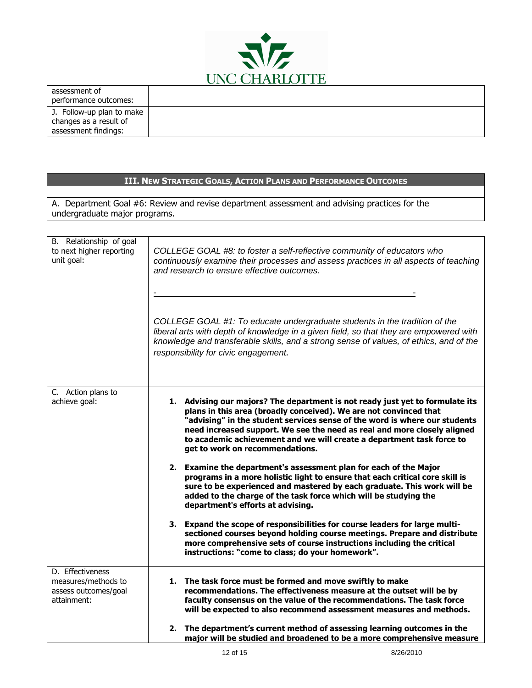

| assessment of<br>performance outcomes: |  |
|----------------------------------------|--|
|                                        |  |
| J. Follow-up plan to make              |  |
| changes as a result of                 |  |
| assessment findings:                   |  |

|                                                                                                                                |                                                                                                                                                                                                               |                                      | III. NEW STRATEGIC GOALS, ACTION PLANS AND PERFORMANCE OUTCOMES                                                                       |                                                                                                                                                                                                                                                                                                                  |
|--------------------------------------------------------------------------------------------------------------------------------|---------------------------------------------------------------------------------------------------------------------------------------------------------------------------------------------------------------|--------------------------------------|---------------------------------------------------------------------------------------------------------------------------------------|------------------------------------------------------------------------------------------------------------------------------------------------------------------------------------------------------------------------------------------------------------------------------------------------------------------|
|                                                                                                                                |                                                                                                                                                                                                               |                                      |                                                                                                                                       |                                                                                                                                                                                                                                                                                                                  |
| A. Department Goal #6: Review and revise department assessment and advising practices for the<br>undergraduate major programs. |                                                                                                                                                                                                               |                                      |                                                                                                                                       |                                                                                                                                                                                                                                                                                                                  |
|                                                                                                                                |                                                                                                                                                                                                               |                                      |                                                                                                                                       |                                                                                                                                                                                                                                                                                                                  |
| B. Relationship of goal<br>to next higher reporting<br>unit goal:                                                              | COLLEGE GOAL #8: to foster a self-reflective community of educators who<br>continuously examine their processes and assess practices in all aspects of teaching<br>and research to ensure effective outcomes. |                                      |                                                                                                                                       |                                                                                                                                                                                                                                                                                                                  |
|                                                                                                                                |                                                                                                                                                                                                               | responsibility for civic engagement. |                                                                                                                                       | COLLEGE GOAL #1: To educate undergraduate students in the tradition of the<br>liberal arts with depth of knowledge in a given field, so that they are empowered with<br>knowledge and transferable skills, and a strong sense of values, of ethics, and of the                                                   |
| C. Action plans to<br>achieve goal:                                                                                            |                                                                                                                                                                                                               | get to work on recommendations.      | plans in this area (broadly conceived). We are not convinced that                                                                     | 1. Advising our majors? The department is not ready just yet to formulate its<br>"advising" in the student services sense of the word is where our students<br>need increased support. We see the need as real and more closely aligned<br>to academic achievement and we will create a department task force to |
|                                                                                                                                |                                                                                                                                                                                                               | department's efforts at advising.    | 2. Examine the department's assessment plan for each of the Major<br>added to the charge of the task force which will be studying the | programs in a more holistic light to ensure that each critical core skill is<br>sure to be experienced and mastered by each graduate. This work will be                                                                                                                                                          |
|                                                                                                                                |                                                                                                                                                                                                               |                                      | instructions: "come to class; do your homework".                                                                                      | 3. Expand the scope of responsibilities for course leaders for large multi-<br>sectioned courses beyond holding course meetings. Prepare and distribute<br>more comprehensive sets of course instructions including the critical                                                                                 |
| D. Effectiveness<br>measures/methods to<br>assess outcomes/goal<br>attainment:                                                 |                                                                                                                                                                                                               |                                      | 1. The task force must be formed and move swiftly to make                                                                             | recommendations. The effectiveness measure at the outset will be by<br>faculty consensus on the value of the recommendations. The task force<br>will be expected to also recommend assessment measures and methods.                                                                                              |
|                                                                                                                                | 2.                                                                                                                                                                                                            |                                      |                                                                                                                                       | The department's current method of assessing learning outcomes in the<br>major will be studied and broadened to be a more comprehensive measure                                                                                                                                                                  |
|                                                                                                                                |                                                                                                                                                                                                               | 12 of 15                             |                                                                                                                                       | 8/26/2010                                                                                                                                                                                                                                                                                                        |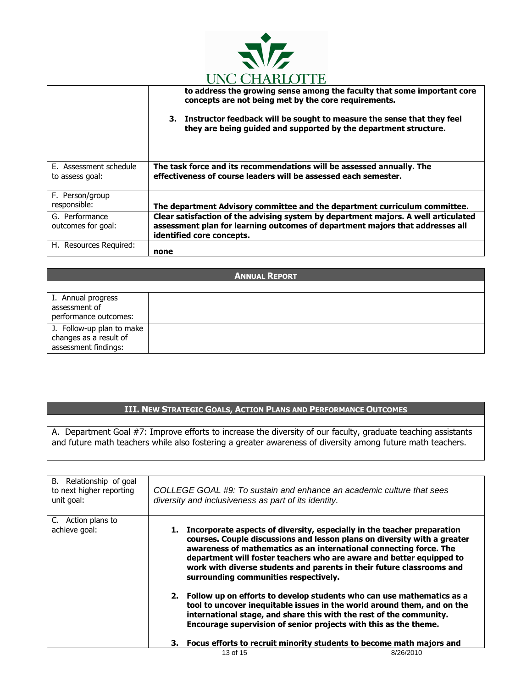

|                        | <u>Cive Cilimac i il</u>                                                                                                                      |
|------------------------|-----------------------------------------------------------------------------------------------------------------------------------------------|
|                        | to address the growing sense among the faculty that some important core<br>concepts are not being met by the core requirements.               |
|                        | 3. Instructor feedback will be sought to measure the sense that they feel<br>they are being guided and supported by the department structure. |
| E. Assessment schedule | The task force and its recommendations will be assessed annually. The                                                                         |
| to assess goal:        | effectiveness of course leaders will be assessed each semester.                                                                               |
| F. Person/group        |                                                                                                                                               |
| responsible:           | The department Advisory committee and the department curriculum committee.                                                                    |
| G. Performance         | Clear satisfaction of the advising system by department majors. A well articulated                                                            |
| outcomes for goal:     | assessment plan for learning outcomes of department majors that addresses all                                                                 |
|                        | identified core concepts.                                                                                                                     |
| H. Resources Required: | none                                                                                                                                          |

| <b>ANNUAL REPORT</b>                                                        |  |  |
|-----------------------------------------------------------------------------|--|--|
|                                                                             |  |  |
| I. Annual progress<br>assessment of<br>performance outcomes:                |  |  |
| J. Follow-up plan to make<br>changes as a result of<br>assessment findings: |  |  |

A. Department Goal #7: Improve efforts to increase the diversity of our faculty, graduate teaching assistants and future math teachers while also fostering a greater awareness of diversity among future math teachers.

| B. Relationship of goal<br>to next higher reporting<br>unit goal: |                                                                         | diversity and inclusiveness as part of its identity.                                                                                                                                                                                                                                           | COLLEGE GOAL #9: To sustain and enhance an academic culture that sees                                                                                                                                                                                                                                                                                                         |
|-------------------------------------------------------------------|-------------------------------------------------------------------------|------------------------------------------------------------------------------------------------------------------------------------------------------------------------------------------------------------------------------------------------------------------------------------------------|-------------------------------------------------------------------------------------------------------------------------------------------------------------------------------------------------------------------------------------------------------------------------------------------------------------------------------------------------------------------------------|
| C. Action plans to<br>achieve goal:                               |                                                                         | surrounding communities respectively.                                                                                                                                                                                                                                                          | 1. Incorporate aspects of diversity, especially in the teacher preparation<br>courses. Couple discussions and lesson plans on diversity with a greater<br>awareness of mathematics as an international connecting force. The<br>department will foster teachers who are aware and better equipped to<br>work with diverse students and parents in their future classrooms and |
|                                                                   |                                                                         | 2. Follow up on efforts to develop students who can use mathematics as a<br>tool to uncover inequitable issues in the world around them, and on the<br>international stage, and share this with the rest of the community.<br>Encourage supervision of senior projects with this as the theme. |                                                                                                                                                                                                                                                                                                                                                                               |
|                                                                   | 3. Focus efforts to recruit minority students to become math majors and |                                                                                                                                                                                                                                                                                                |                                                                                                                                                                                                                                                                                                                                                                               |
|                                                                   |                                                                         | 13 of 15                                                                                                                                                                                                                                                                                       | 8/26/2010                                                                                                                                                                                                                                                                                                                                                                     |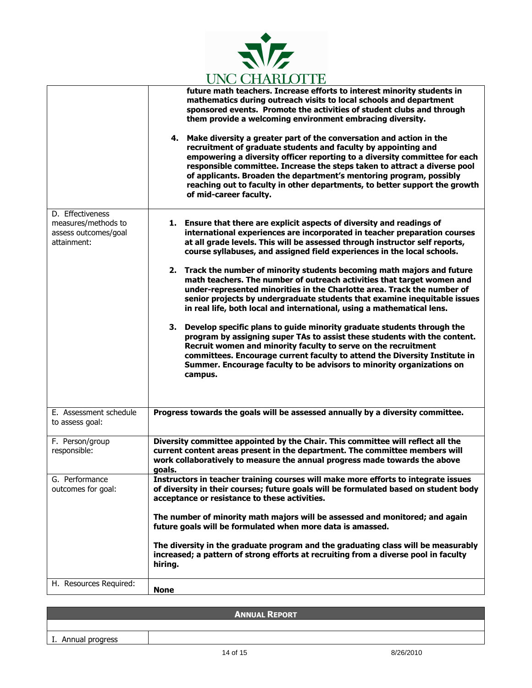

|                                                                                | $0.100$ CLEARED 1.10<br>future math teachers. Increase efforts to interest minority students in<br>mathematics during outreach visits to local schools and department<br>sponsored events. Promote the activities of student clubs and through<br>them provide a welcoming environment embracing diversity.<br>4. Make diversity a greater part of the conversation and action in the<br>recruitment of graduate students and faculty by appointing and<br>empowering a diversity officer reporting to a diversity committee for each<br>responsible committee. Increase the steps taken to attract a diverse pool<br>of applicants. Broaden the department's mentoring program, possibly<br>reaching out to faculty in other departments, to better support the growth<br>of mid-career faculty.                                                                                                                                                                                                                                                                                                   |  |
|--------------------------------------------------------------------------------|-----------------------------------------------------------------------------------------------------------------------------------------------------------------------------------------------------------------------------------------------------------------------------------------------------------------------------------------------------------------------------------------------------------------------------------------------------------------------------------------------------------------------------------------------------------------------------------------------------------------------------------------------------------------------------------------------------------------------------------------------------------------------------------------------------------------------------------------------------------------------------------------------------------------------------------------------------------------------------------------------------------------------------------------------------------------------------------------------------|--|
| D. Effectiveness<br>measures/methods to<br>assess outcomes/goal<br>attainment: | 1. Ensure that there are explicit aspects of diversity and readings of<br>international experiences are incorporated in teacher preparation courses<br>at all grade levels. This will be assessed through instructor self reports,<br>course syllabuses, and assigned field experiences in the local schools.<br>2. Track the number of minority students becoming math majors and future<br>math teachers. The number of outreach activities that target women and<br>under-represented minorities in the Charlotte area. Track the number of<br>senior projects by undergraduate students that examine inequitable issues<br>in real life, both local and international, using a mathematical lens.<br>3. Develop specific plans to guide minority graduate students through the<br>program by assigning super TAs to assist these students with the content.<br>Recruit women and minority faculty to serve on the recruitment<br>committees. Encourage current faculty to attend the Diversity Institute in<br>Summer. Encourage faculty to be advisors to minority organizations on<br>campus. |  |
| E. Assessment schedule<br>to assess goal:                                      | Progress towards the goals will be assessed annually by a diversity committee.                                                                                                                                                                                                                                                                                                                                                                                                                                                                                                                                                                                                                                                                                                                                                                                                                                                                                                                                                                                                                      |  |
| F. Person/group<br>responsible:                                                | Diversity committee appointed by the Chair. This committee will reflect all the<br>current content areas present in the department. The committee members will<br>work collaboratively to measure the annual progress made towards the above<br>goals.                                                                                                                                                                                                                                                                                                                                                                                                                                                                                                                                                                                                                                                                                                                                                                                                                                              |  |
| G. Performance<br>outcomes for goal:                                           | Instructors in teacher training courses will make more efforts to integrate issues<br>of diversity in their courses; future goals will be formulated based on student body<br>acceptance or resistance to these activities.<br>The number of minority math majors will be assessed and monitored; and again<br>future goals will be formulated when more data is amassed.<br>The diversity in the graduate program and the graduating class will be measurably<br>increased; a pattern of strong efforts at recruiting from a diverse pool in faculty<br>hiring.                                                                                                                                                                                                                                                                                                                                                                                                                                                                                                                                    |  |
| H. Resources Required:                                                         | <b>None</b>                                                                                                                                                                                                                                                                                                                                                                                                                                                                                                                                                                                                                                                                                                                                                                                                                                                                                                                                                                                                                                                                                         |  |

| <b>ANNUAL REPORT</b> |          |           |  |  |
|----------------------|----------|-----------|--|--|
|                      |          |           |  |  |
| I. Annual progress   |          |           |  |  |
|                      | 14 of 15 | 8/26/2010 |  |  |